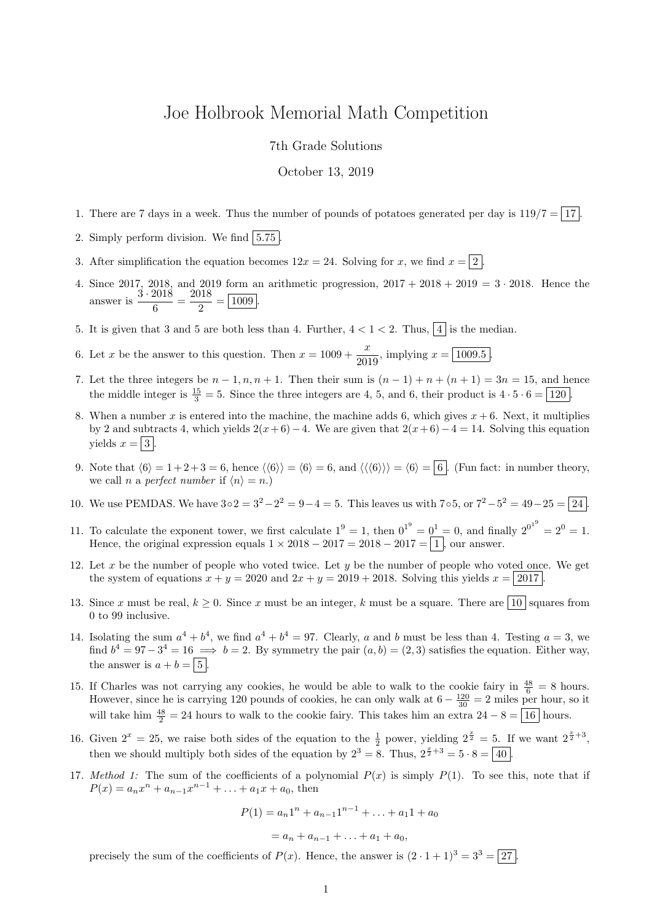## Joe Holbrook Memorial Math Competition

7th Grade Solutions

October 13, 2019

- 1. There are 7 days in a week. Thus the number of pounds of potatoes generated per day is  $119/7 = |17|$ .
- 2. Simply perform division. We find  $|5.75|$ .
- 3. After simplification the equation becomes  $12x = 24$ . Solving for x, we find  $x = 2$ .
- 4. Since 2017, 2018, and 2019 form an arithmetic progression,  $2017 + 2018 + 2019 = 3 \cdot 2018$ . Hence the answer is  $\frac{3 \cdot 2018}{c}$  $\frac{2018}{6} = \frac{2018}{2}$  $\frac{2}{2} = \boxed{1009}.$
- 5. It is given that 3 and 5 are both less than 4. Further,  $4 < 1 < 2$ . Thus,  $\boxed{4}$  is the median.
- 6. Let x be the answer to this question. Then  $x = 1009 + \frac{x}{200}$  $\frac{x}{2019}$ , implying  $x = |1009.5|$ .
- 7. Let the three integers be  $n-1, n, n+1$ . Then their sum is  $(n-1)+n+(n+1)=3n=15$ , and hence the middle integer is  $\frac{15}{3} = 5$ . Since the three integers are 4, 5, and 6, their product is  $4 \cdot 5 \cdot 6 = 120$ .
- 8. When a number x is entered into the machine, the machine adds 6, which gives  $x + 6$ . Next, it multiplies by 2 and subtracts 4, which yields  $2(x+6)-4$ . We are given that  $2(x+6)-4=14$ . Solving this equation yields  $x = |3|$ .
- 9. Note that  $\langle 6 \rangle = 1 + 2 + 3 = 6$ , hence  $\langle 6 \rangle = \langle 6 \rangle = 6$ , and  $\langle 6 \rangle = 6 = 6$ . (Fun fact: in number theory, we call *n* a *perfect number* if  $\langle n \rangle = n$ .)
- 10. We use PEMDAS. We have  $3 \circ 2 = 3^2 2^2 = 9 4 = 5$ . This leaves us with  $7 \circ 5$ , or  $7^2 5^2 = 49 25 = 24$ .
- 11. To calculate the exponent tower, we first calculate  $1^9 = 1$ , then  $0^{1^9} = 0^1 = 0$ , and finally  $2^{0^{1^9}} = 2^0 = 1$ . Hence, the original expression equals  $1 \times 2018 - 2017 = 2018 - 2017 = |1|$ , our answer.
- 12. Let x be the number of people who voted twice. Let y be the number of people who voted once. We get the system of equations  $x + y = 2020$  and  $2x + y = 2019 + 2018$ . Solving this yields  $x = 2017$ .
- 13. Since x must be real,  $k \geq 0$ . Since x must be an integer, k must be a square. There are  $\boxed{10}$  squares from 0 to 99 inclusive.
- 14. Isolating the sum  $a^4 + b^4$ , we find  $a^4 + b^4 = 97$ . Clearly, a and b must be less than 4. Testing  $a = 3$ , we find  $b^4 = 97-3^4 = 16 \implies b = 2$ . By symmetry the pair  $(a, b) = (2, 3)$  satisfies the equation. Either way, the answer is  $a + b = \boxed{5}$ .
- 15. If Charles was not carrying any cookies, he would be able to walk to the cookie fairy in  $\frac{48}{6} = 8$  hours. However, since he is carrying 120 pounds of cookies, he can only walk at  $6 - \frac{120}{30} = 2$  miles per hour, so it will take him  $\frac{48}{2} = 24$  hours to walk to the cookie fairy. This takes him an extra  $24 - 8 = \boxed{16}$  hours.
- 16. Given  $2^x = 25$ , we raise both sides of the equation to the  $\frac{1}{2}$  power, yielding  $2^{\frac{x}{2}} = 5$ . If we want  $2^{\frac{x}{2}+3}$ , then we should multiply both sides of the equation by  $2^3 = 8$ . Thus,  $2^{\frac{x}{2}+3} = 5 \cdot 8 = \boxed{40}$ .
- 17. Method 1: The sum of the coefficients of a polynomial  $P(x)$  is simply  $P(1)$ . To see this, note that if  $P(x) = a_n x^n + a_{n-1} x^{n-1} + \ldots + a_1 x + a_0$ , then

$$
P(1) = a_n 1^n + a_{n-1} 1^{n-1} + \dots + a_1 1 + a_0
$$
  
=  $a_n + a_{n-1} + \dots + a_1 + a_0$ ,

precisely the sum of the coefficients of  $P(x)$ . Hence, the answer is  $(2 \cdot 1 + 1)^3 = 3^3 = 27$ .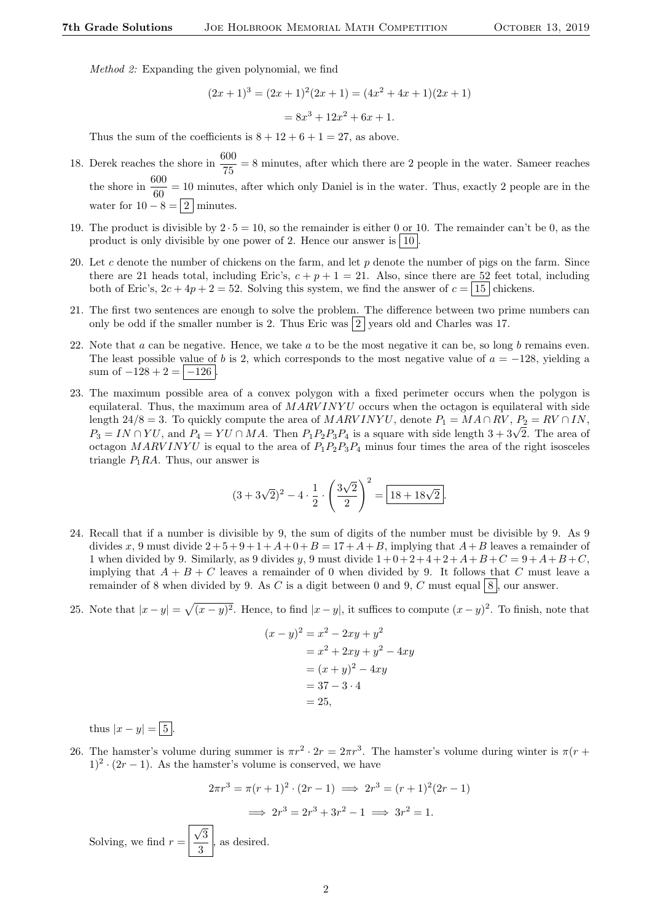Method 2: Expanding the given polynomial, we find

$$
(2x+1)3 = (2x+1)2(2x+1) = (4x2 + 4x + 1)(2x + 1)
$$

$$
= 8x3 + 12x2 + 6x + 1.
$$

Thus the sum of the coefficients is  $8 + 12 + 6 + 1 = 27$ , as above.

- 18. Derek reaches the shore in  $\frac{600}{75} = 8$  minutes, after which there are 2 people in the water. Sameer reaches the shore in  $\frac{600}{60} = 10$  minutes, after which only Daniel is in the water. Thus, exactly 2 people are in the water for  $10 - 8 = 2 \mid \text{minutes.}$
- 19. The product is divisible by  $2 \cdot 5 = 10$ , so the remainder is either 0 or 10. The remainder can't be 0, as the product is only divisible by one power of 2. Hence our answer is  $|10|$
- 20. Let c denote the number of chickens on the farm, and let  $p$  denote the number of pigs on the farm. Since there are 21 heads total, including Eric's,  $c + p + 1 = 21$ . Also, since there are 52 feet total, including both of Eric's,  $2c + 4p + 2 = 52$ . Solving this system, we find the answer of  $c = |15|$  chickens.
- 21. The first two sentences are enough to solve the problem. The difference between two prime numbers can only be odd if the smaller number is 2. Thus Eric was  $|2|$  years old and Charles was 17.
- 22. Note that  $a$  can be negative. Hence, we take  $a$  to be the most negative it can be, so long  $b$  remains even. The least possible value of b is 2, which corresponds to the most negative value of  $a = -128$ , yielding a sum of  $-128 + 2 = |-126|$
- 23. The maximum possible area of a convex polygon with a fixed perimeter occurs when the polygon is equilateral. Thus, the maximum area of  $MARVINYU$  occurs when the octagon is equilateral with side length 24/8 = 3. To quickly compute the area of  $MARVINVU$ , denote  $P_1 = MA \cap RV$ ,  $P_2 = RV \cap IN$ , ength  $24/8 = 3$ . To quickly compute the area of *MARV INTU*, denote  $P_1 = M A + RV$ ,  $P_2 = RV + IIN$ ,  $P_3 = IN \cap YU$ , and  $P_4 = YU \cap MA$ . Then  $P_1P_2P_3P_4$  is a square with side length  $3 + 3\sqrt{2}$ . The area of octagon MARVINYU is equal to the area of  $P_1P_2P_3P_4$  minus four times the area of the right isosceles triangle  $P_1RA$ . Thus, our answer is

$$
(3+3\sqrt{2})^2 - 4 \cdot \frac{1}{2} \cdot \left(\frac{3\sqrt{2}}{2}\right)^2 = \boxed{18+18\sqrt{2}}.
$$

- 24. Recall that if a number is divisible by 9, the sum of digits of the number must be divisible by 9. As 9 divides x, 9 must divide  $2+5+9+1+ A+0+ B = 17+A+B$ , implying that  $A+B$  leaves a remainder of 1 when divided by 9. Similarly, as 9 divides y, 9 must divide  $1+0+2+4+2+A+B+C = 9+A+B+C$ , implying that  $A + B + C$  leaves a remainder of 0 when divided by 9. It follows that C must leave a remainder of 8 when divided by 9. As C is a digit between 0 and 9, C must equal  $8$ , our answer.
- 25. Note that  $|x-y| = \sqrt{(x-y)^2}$ . Hence, to find  $|x-y|$ , it suffices to compute  $(x-y)^2$ . To finish, note that

$$
(x - y)^2 = x^2 - 2xy + y^2
$$
  
= x<sup>2</sup> + 2xy + y<sup>2</sup> - 4xy  
= (x + y)<sup>2</sup> - 4xy  
= 37 - 3 \cdot 4  
= 25,

thus  $|x-y| = 5$ .

26. The hamster's volume during summer is  $\pi r^2 \cdot 2r = 2\pi r^3$ . The hamster's volume during winter is  $\pi(r +$  $1)^2 \cdot (2r - 1)$ . As the hamster's volume is conserved, we have

$$
2\pi r^3 = \pi (r+1)^2 \cdot (2r-1) \implies 2r^3 = (r+1)^2 (2r-1)
$$
  

$$
\implies 2r^3 = 2r^3 + 3r^2 - 1 \implies 3r^2 = 1.
$$

Solving, we find  $r =$ √ 3  $\frac{3}{3}$ , as desired.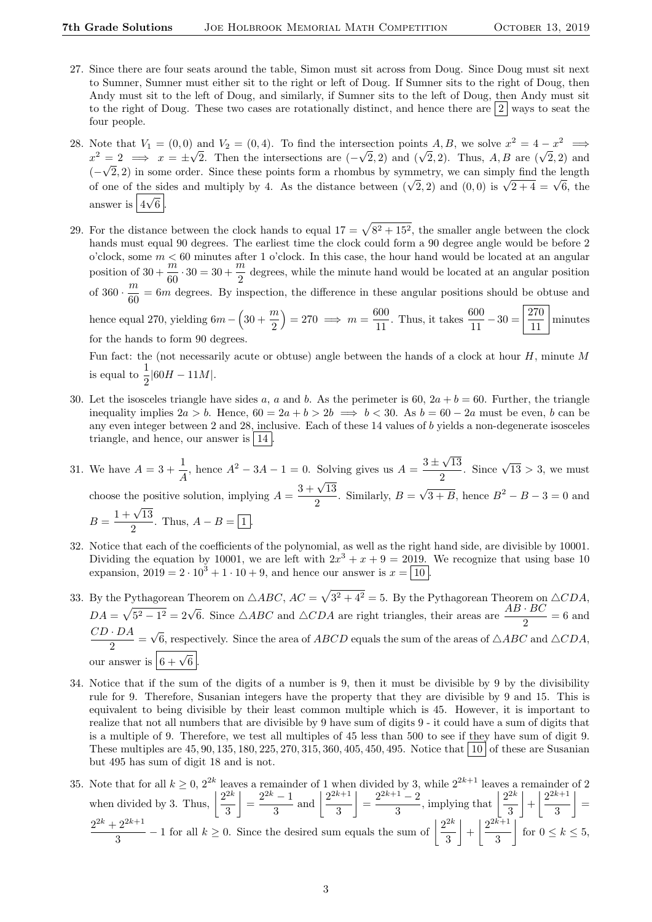- 27. Since there are four seats around the table, Simon must sit across from Doug. Since Doug must sit next to Sumner, Sumner must either sit to the right or left of Doug. If Sumner sits to the right of Doug, then Andy must sit to the left of Doug, and similarly, if Sumner sits to the left of Doug, then Andy must sit to the right of Doug. These two cases are rotationally distinct, and hence there are  $\frac{2}{3}$  ways to seat the four people.
- 28. Note that  $V_1 = (0,0)$  and  $V_2 = (0,4)$ . To find the intersection points  $A, B$ , we solve  $x^2 = 4 x^2 \implies$ Note that  $v_1 = (0,0)$  and  $v_2 = (0,4)$ . To find the intersection points A, B, we solve  $x = 4 - x \implies x^2 = 2 \implies x = \pm \sqrt{2}$ . Then the intersections are  $(-\sqrt{2}, 2)$  and  $(\sqrt{2}, 2)$ . Thus, A, B are  $(\sqrt{2}, 2)$  and  $(-\sqrt{2}, 2)$  in some order. Since these points form a rhombus by symmetry, we can simply find the length  $(-\sqrt{2}, 2)$  in some order. Since these points form a rhomous by symmetry, we can simply find the length of one of the sides and multiply by 4. As the distance between  $(\sqrt{2}, 2)$  and  $(0, 0)$  is  $\sqrt{2+4} = \sqrt{6}$ , the answer is  $\boxed{4\sqrt{6}}$ .
- 29. For the distance between the clock hands to equal  $17 = \sqrt{8^2 + 15^2}$ , the smaller angle between the clock hands must equal 90 degrees. The earliest time the clock could form a 90 degree angle would be before 2 o'clock, some  $m < 60$  minutes after 1 o'clock. In this case, the hour hand would be located at an angular position of  $30 + \frac{m}{60} \cdot 30 = 30 + \frac{m}{2}$  degrees, while the minute hand would be located at an angular position  $\frac{\pi}{2}$  degrees, while the minute hand would be located at an angular position of  $360 \cdot \frac{m}{c}$  $\frac{m}{60}$  = 6m degrees. By inspection, the difference in these angular positions should be obtuse and hence equal 270, yielding  $6m - \left(30 + \frac{m}{2}\right)$ 2  $= 270 \implies m = \frac{600}{11}$  $\frac{600}{11}$ . Thus, it takes  $\frac{600}{11} - 30 = \frac{270}{11}$ 11 minutes for the hands to form 90 degrees.

Fun fact: the (not necessarily acute or obtuse) angle between the hands of a clock at hour  $H$ , minute  $M$ is equal to  $\frac{1}{2} |60H - 11M|$ .

- 30. Let the isosceles triangle have sides a, a and b. As the perimeter is 60,  $2a + b = 60$ . Further, the triangle inequality implies  $2a > b$ . Hence,  $60 = 2a + b > 2b \implies b < 30$ . As  $b = 60 - 2a$  must be even, b can be any even integer between 2 and 28, inclusive. Each of these 14 values of b yields a non-degenerate isosceles triangle, and hence, our answer is  $|14|$ .
- 31. We have  $A = 3 + \frac{1}{4}$  $\frac{1}{A}$ , hence  $A^2 - 3A - 1 = 0$ . Solving gives us  $A = \frac{3 \pm \sqrt{3}}{2}$ √ 13  $\frac{\sqrt{13}}{2}$ . Since  $\sqrt{13} > 3$ , we must choose the positive solution, implying  $A = \frac{3 + \sqrt{13}}{2}$  $\frac{1}{2}$ . Similarly,  $B =$ √  $\overline{3+B}$ , hence  $B^2 - B - 3 = 0$  and  $B = \frac{1 + \sqrt{13}}{2}$  $\frac{1}{2}$ . Thus,  $A - B = \boxed{1}$ .
- 32. Notice that each of the coefficients of the polynomial, as well as the right hand side, are divisible by 10001. Dividing the equation by 10001, we are left with  $2x^3 + x + 9 = 2019$ . We recognize that using base 10 expansion,  $2019 = 2 \cdot 10^3 + 1 \cdot 10 + 9$ , and hence our answer is  $x = \boxed{10}$ .
- 33. By the Pythagorean Theorem on  $\triangle ABC$ ,  $AC = \sqrt{3^2 + 4^2} = 5$ . By the Pythagorean Theorem on  $\triangle CDA$ ,  $DA = \sqrt{5^2 - 1^2} = 2\sqrt{6}$ . Since  $\triangle ABC$  and  $\triangle CDA$  are right triangles, their areas are  $\frac{AB \cdot BC}{2} = 6$  and  $CD \cdot DA$  $\frac{2\pi}{2}$ √ 6, respectively. Since the area of ABCD equals the sum of the areas of  $\triangle ABC$  and  $\triangle CDA$ , our answer is  $\boxed{6 + \sqrt{6}}$ .
- 34. Notice that if the sum of the digits of a number is 9, then it must be divisible by 9 by the divisibility rule for 9. Therefore, Susanian integers have the property that they are divisible by 9 and 15. This is equivalent to being divisible by their least common multiple which is 45. However, it is important to realize that not all numbers that are divisible by 9 have sum of digits 9 - it could have a sum of digits that is a multiple of 9. Therefore, we test all multiples of 45 less than 500 to see if they have sum of digit 9. These multiples are  $45, 90, 135, 180, 225, 270, 315, 360, 405, 450, 495$ . Notice that  $|10|$  of these are Susanian but 495 has sum of digit 18 and is not.
- 35. Note that for all  $k \geq 0$ ,  $2^{2k}$  leaves a remainder of 1 when divided by 3, while  $2^{2k+1}$  leaves a remainder of 2 when divided by 3. Thus,  $\left| \frac{2^{2k}}{2} \right|$ 3  $=\frac{2^{2k}-1}{2}$  $\frac{(-1)}{3}$  and  $\frac{2^{2k+1}}{3}$ 3  $=\frac{2^{2k+1}-2}{2}$  $\frac{1-2}{3}$ , implying that  $\left|\frac{2^{2k}}{3}\right|$ 3  $\left|+\right| \frac{2^{2k+1}}{2}$ 3  $\vert$  =  $2^{2k}+2^{2k+1}$  $\frac{2^{2k+1}}{3} - 1$  for all  $k \ge 0$ . Since the desired sum equals the sum of  $\frac{2^{2k}}{3}$ 3  $\left|+\right| \frac{2^{2k+1}}{2}$ 3  $\left| \begin{array}{c} \text{for } 0 \leq k \leq 5, \end{array} \right|$